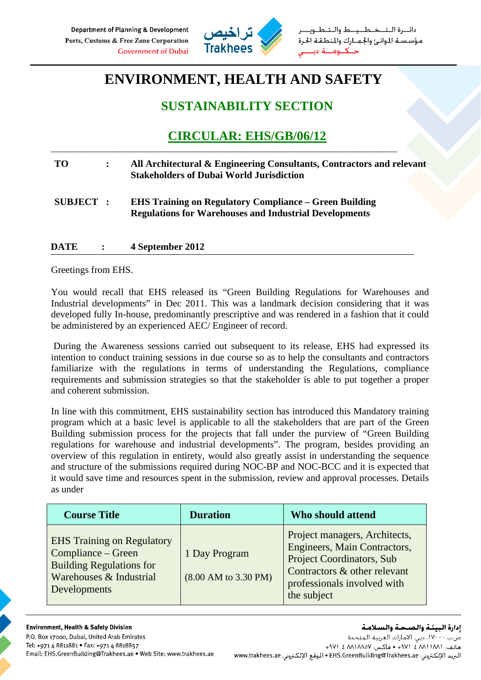

ـيـــط والــتـ مؤسسة الموانئ والجمارك والمنطقة الحرة

# **ENVIRONMENT, HEALTH AND SAFETY**

### **SUSTAINABILITY SECTION**

## **CIRCULAR: EHS/GB/06/12**

### **TO : All Architectural & Engineering Consultants, Contractors and relevant Stakeholders of Dubai World Jurisdiction**

\_\_\_\_\_\_\_\_\_\_\_\_\_\_\_\_\_\_\_\_\_\_\_\_\_\_\_\_\_\_\_\_\_\_\_\_\_\_\_\_\_\_\_\_\_\_\_\_\_\_\_\_\_\_\_\_\_\_\_\_\_\_\_\_\_\_\_\_\_\_\_\_\_\_\_\_\_\_

**SUBJECT : EHS Training on Regulatory Compliance – Green Building Regulations for Warehouses and Industrial Developments** 

### **DATE : 4 September 2012**

Greetings from EHS.

You would recall that EHS released its "Green Building Regulations for Warehouses and Industrial developments" in Dec 2011. This was a landmark decision considering that it was developed fully In-house, predominantly prescriptive and was rendered in a fashion that it could be administered by an experienced AEC/ Engineer of record.

 During the Awareness sessions carried out subsequent to its release, EHS had expressed its intention to conduct training sessions in due course so as to help the consultants and contractors familiarize with the regulations in terms of understanding the Regulations, compliance requirements and submission strategies so that the stakeholder is able to put together a proper and coherent submission.

In line with this commitment, EHS sustainability section has introduced this Mandatory training program which at a basic level is applicable to all the stakeholders that are part of the Green Building submission process for the projects that fall under the purview of "Green Building regulations for warehouse and industrial developments". The program, besides providing an overview of this regulation in entirety, would also greatly assist in understanding the sequence and structure of the submissions required during NOC-BP and NOC-BCC and it is expected that it would save time and resources spent in the submission, review and approval processes. Details as under

| <b>Course Title</b>                                                                                                                   | <b>Duration</b>                       | Who should attend                                                                                                                                                               |
|---------------------------------------------------------------------------------------------------------------------------------------|---------------------------------------|---------------------------------------------------------------------------------------------------------------------------------------------------------------------------------|
| <b>EHS</b> Training on Regulatory<br>Compliance - Green<br><b>Building Regulations for</b><br>Warehouses & Industrial<br>Developments | 1 Day Program<br>(8.00 AM to 3.30 PM) | Project managers, Architects,<br>Engineers, Main Contractors,<br><b>Project Coordinators, Sub</b><br>Contractors & other relevant<br>professionals involved with<br>the subject |